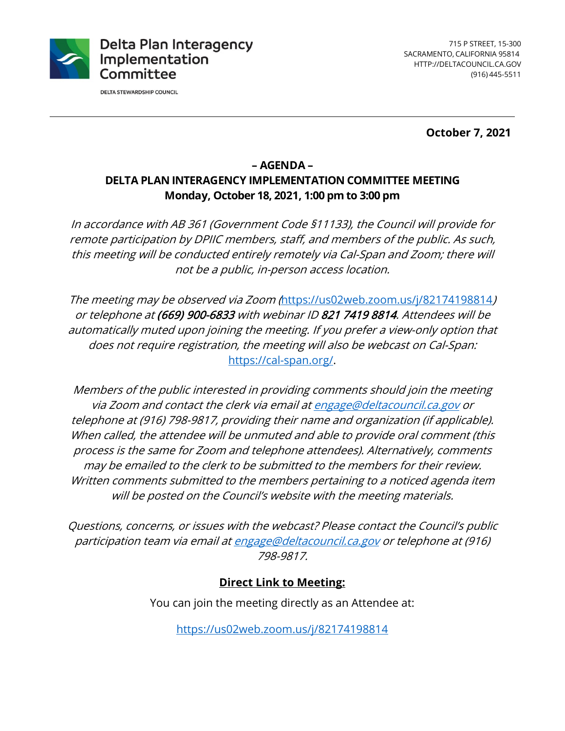

**DELTA STEWARDSHIP COUNCIL** 

**October 7, 2021** 

## **– AGENDA – DELTA PLAN INTERAGENCY IMPLEMENTATION COMMITTEE MEETING Monday, October 18, 2021, 1:00 pm to 3:00 pm**

In accordance with AB 361 (Government Code §11133), the Council will provide for remote participation by DPIIC members, staff, and members of the public. As such, this meeting will be conducted entirely remotely via Cal-Span and Zoom; there will not be a public, in-person access location.

The meeting may be observed via Zoom (<https://us02web.zoom.us/j/82174198814>) or telephone at (669) 900-6833 with webinar ID 821 7419 8814. Attendees will be automatically muted upon joining the meeting. If you prefer a view-only option that does not require registration, the meeting will also be webcast on Cal-Span: [https://cal-span.org/](https://cal-span.org).

 may be emailed to the clerk to be submitted to the members for their review. will be posted on the Council's website with the meeting materials. Members of the public interested in providing comments should join the meeting via Zoom and contact the clerk via email at [engage@deltacouncil.ca.gov](mailto:engage@deltacouncil.ca.gov) or telephone at (916) 798-9817, providing their name and organization (if applicable). When called, the attendee will be unmuted and able to provide oral comment (this process is the same for Zoom and telephone attendees). Alternatively, comments Written comments submitted to the members pertaining to a noticed agenda item

Questions, concerns, or issues with the webcast? Please contact the Council's public participation team via email at [engage@deltacouncil.ca.gov](mailto:engage@deltacouncil.ca.gov) or telephone at (916) 798-9817.

# **Direct Link to Meeting:**

You can join the meeting directly as an Attendee at:

<https://us02web.zoom.us/j/82174198814>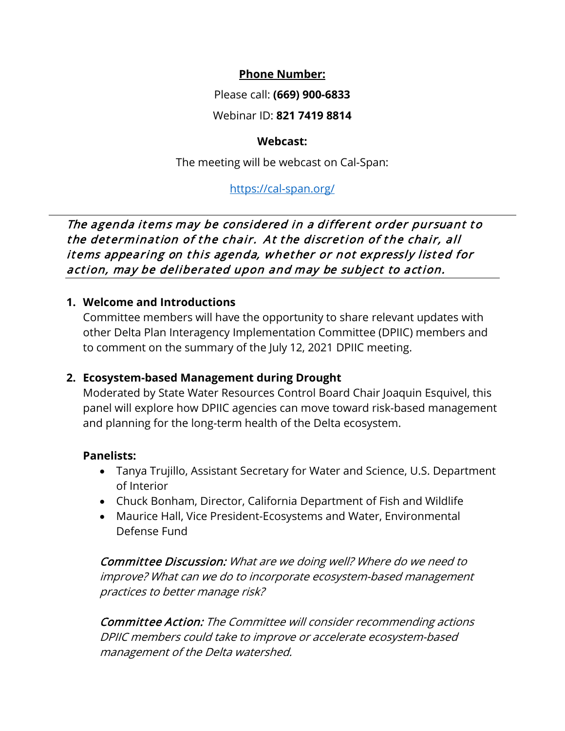### **Phone Number:**

Please call: **(669) 900-6833** 

Webinar ID: **821 7419 8814 Webcast:** 

The meeting will be webcast on Cal-Span:

# <https://cal-span.org>/

The agenda items may be considered in a different order pursuant to the determination of the chair. At the discretion of the chair, all items appearing on this agenda, whether or not expressly listed for action, may be deliberated upon and may be subject to action.

# **1. Welcome and Introductions**

 Committee members will have the opportunity to share relevant updates with other Delta Plan Interagency Implementation Committee (DPIIC) members and to comment on the summary of the July 12, 2021 DPIIC meeting.

# **2. Ecosystem-based Management during Drought**

 Moderated by State Water Resources Control Board Chair Joaquin Esquivel, this panel will explore how DPIIC agencies can move toward risk-based management and planning for the long-term health of the Delta ecosystem.

#### **Panelists:**

- Tanya Trujillo, Assistant Secretary for Water and Science, U.S. Department of Interior
- Chuck Bonham, Director, California Department of Fish and Wildlife
- Maurice Hall, Vice President-Ecosystems and Water, Environmental Defense Fund

 Committee Discussion: What are we doing well? Where do we need to improve? What can we do to incorporate ecosystem-based management practices to better manage risk?

Committee Action: The Committee will consider recommending actions DPIIC members could take to improve or accelerate ecosystem-based management of the Delta watershed.